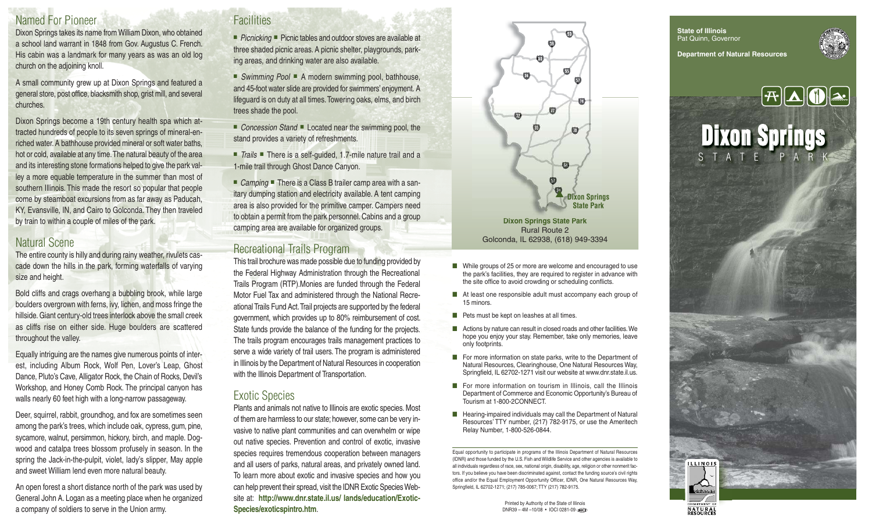## Named For Pioneer

Dixon Springs takes its name from William Dixon, who obtained a school land warrant in 1848 from Gov. Augustus C. French. His cabin was a landmark for many years as was an old log church on the adjoining knoll.

A small community grew up at Dixon Springs and featured a general store, post office, blacksmith shop, grist mill, and several churches.

Dixon Springs become a 19th century health spa which attracted hundreds of people to its seven springs of mineral-enriched water. A bathhouse provided mineral or soft water baths, hot or cold, available at any time. The natural beauty of the area and its interesting stone formations helped to give the park valley a more equable temperature in the summer than most of southern Illinois. This made the resort so popular that people come by steamboat excursions from as far away as Paducah, KY, Evansville, IN, and Cairo to Golconda. They then traveled by train to within a couple of miles of the park.

#### Natural Scene

The entire county is hilly and during rainy weather, rivulets cascade down the hills in the park, forming waterfalls of varying size and height.

Bold cliffs and crags overhang a bubbling brook, while large boulders overgrown with ferns, ivy, lichen, and moss fringe the hillside. Giant century-old trees interlock above the small creek as cliffs rise on either side. Huge boulders are scattered throughout the valley.

Equally intriguing are the names give numerous points of interest, including Album Rock, Wolf Pen, Lover's Leap, Ghost Dance, Pluto's Cave, Alligator Rock, the Chain of Rocks, Devil's Workshop, and Honey Comb Rock. The principal canyon has walls nearly 60 feet high with a long-narrow passageway.

Deer, squirrel, rabbit, groundhog, and fox are sometimes seen among the park's trees, which include oak, cypress, gum, pine, sycamore, walnut, persimmon, hickory, birch, and maple. Dogwood and catalpa trees blossom profusely in season. In the spring the Jack-in-the-pulpit, violet, lady's slipper, May apple and sweet William lend even more natural beauty.

An open forest a short distance north of the park was used by General John A. Logan as a meeting place when he organized a company of soldiers to serve in the Union army.

## **Facilities**

■ Picnicking ■ Picnic tables and outdoor stoves are available at three shaded picnic areas. A picnic shelter, playgrounds, parking areas, and drinking water are also available.

■ Swimming Pool ■ A modern swimming pool, bathhouse, and 45-foot water slide are provided for swimmers' enjoyment. A lifeguard is on duty at all times. Towering oaks, elms, and birch trees shade the pool.

■ Concession Stand ■ Located near the swimming pool, the stand provides a variety of refreshments.

■ Trails ■ There is a self-quided, 1.7-mile nature trail and a 1-mile trail through Ghost Dance Canyon.

■ *Camping* ■ There is a Class B trailer camp area with a sanitary dumping station and electricity available. A tent camping area is also provided for the primitive camper. Campers need to obtain a permit from the park personnel. Cabins and a group camping area are available for organized groups.

### Recreational Trails Program

This trail brochure was made possible due to funding provided by the Federal Highway Administration through the Recreational Trails Program (RTP).Monies are funded through the Federal Motor Fuel Tax and administered through the National Recreational Trails Fund Act. Trail projects are supported by the federal government, which provides up to 80% reimbursement of cost. State funds provide the balance of the funding for the projects. The trails program encourages trails management practices to serve a wide variety of trail users. The program is administered in Illinois by the Department of Natural Resources in cooperation with the Illinois Department of Transportation.

#### Exotic Species

Plants and animals not native to Illinois are exotic species. Most of them are harmless to our state; however, some can be very invasive to native plant communities and can overwhelm or wipe out native species. Prevention and control of exotic, invasive species requires tremendous cooperation between managers and all users of parks, natural areas, and privately owned land. To learn more about exotic and invasive species and how you can help prevent their spread, visit the IDNR Exotic Species Website at: **http://www.dnr.state.il.us/ lands/education/Exotic-Species/exoticspintro.htm**.



- While groups of 25 or more are welcome and encouraged to use the park's facilities, they are required to register in advance with the site office to avoid crowding or scheduling conflicts.
- At least one responsible adult must accompany each group of 15 minors.
- Pets must be kept on leashes at all times.
- Actions by nature can result in closed roads and other facilities. We hope you enjoy your stay. Remember, take only memories, leave only footprints.
- For more information on state parks, write to the Department of Natural Resources, Clearinghouse, One Natural Resources Way, Springfield, IL 62702-1271 visit our website at www.dnr.state.il.us.
- For more information on tourism in Illinois, call the Illinois Department of Commerce and Economic Opportunity's Bureau of Tourism at 1-800-2CONNECT.
- Hearing-impaired individuals may call the Department of Natural Resources' TTY number, (217) 782-9175, or use the Ameritech Relay Number, 1-800-526-0844.

Equal opportunity to participate in programs of the Illinois Department of Natural Resources (IDNR) and those funded by the U.S. Fish and Wildlife Service and other agencies is available to all individuals regardless of race, sex, national origin, disability, age, religion or other nonmerit factors. If you believe you have been discriminated against, contact the funding source's civil rights office and/or the Equal Employment Opportunity Officer, IDNR, One Natural Resources Way, Springfield, IL 62702-1271; (217) 785-0067; TTY (217) 782-9175.

> Printed by Authority of the State of Illinois DNR39 – 4M –10/08 • IOCI 0281-09

**State of Illinois** Pat Quinn, Governor **Department of Natural Resources**